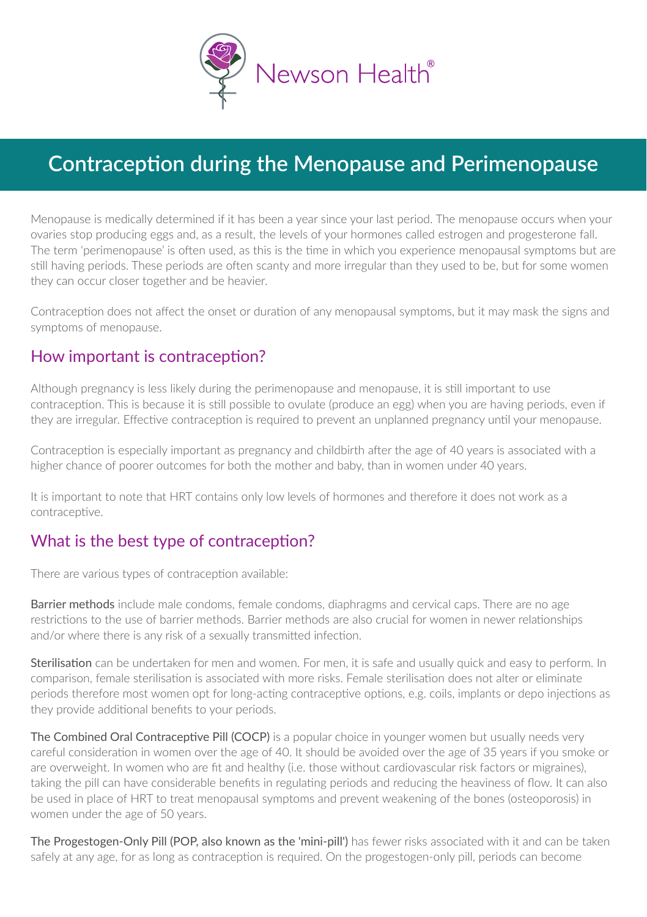

# **Contraception during the Menopause and Perimenopause**

Menopause is medically determined if it has been a year since your last period. The menopause occurs when your ovaries stop producing eggs and, as a result, the levels of your hormones called estrogen and progesterone fall. The term 'perimenopause' is often used, as this is the time in which you experience menopausal symptoms but are still having periods. These periods are often scanty and more irregular than they used to be, but for some women they can occur closer together and be heavier.

Contraception does not affect the onset or duration of any menopausal symptoms, but it may mask the signs and symptoms of menopause.

#### How important is contraception?

Although pregnancy is less likely during the perimenopause and menopause, it is still important to use contraception. This is because it is still possible to ovulate (produce an egg) when you are having periods, even if they are irregular. Effective contraception is required to prevent an unplanned pregnancy until your menopause.

Contraception is especially important as pregnancy and childbirth after the age of 40 years is associated with a higher chance of poorer outcomes for both the mother and baby, than in women under 40 years.

It is important to note that HRT contains only low levels of hormones and therefore it does not work as a contraceptive.

#### What is the best type of contraception?

There are various types of contraception available:

Barrier methods include male condoms, female condoms, diaphragms and cervical caps. There are no age restrictions to the use of barrier methods. Barrier methods are also crucial for women in newer relationships and/or where there is any risk of a sexually transmitted infection.

Sterilisation can be undertaken for men and women. For men, it is safe and usually quick and easy to perform. In comparison, female sterilisation is associated with more risks. Female sterilisation does not alter or eliminate periods therefore most women opt for long-acting contraceptive options, e.g. coils, implants or depo injections as they provide additional benefits to your periods.

The Combined Oral Contraceptive Pill (COCP) is a popular choice in younger women but usually needs very careful consideration in women over the age of 40. It should be avoided over the age of 35 years if you smoke or are overweight. In women who are fit and healthy (i.e. those without cardiovascular risk factors or migraines), taking the pill can have considerable benefits in regulating periods and reducing the heaviness of flow. It can also be used in place of HRT to treat menopausal symptoms and prevent weakening of the bones (osteoporosis) in women under the age of 50 years.

The Progestogen-Only Pill (POP, also known as the 'mini-pill') has fewer risks associated with it and can be taken safely at any age, for as long as contraception is required. On the progestogen-only pill, periods can become